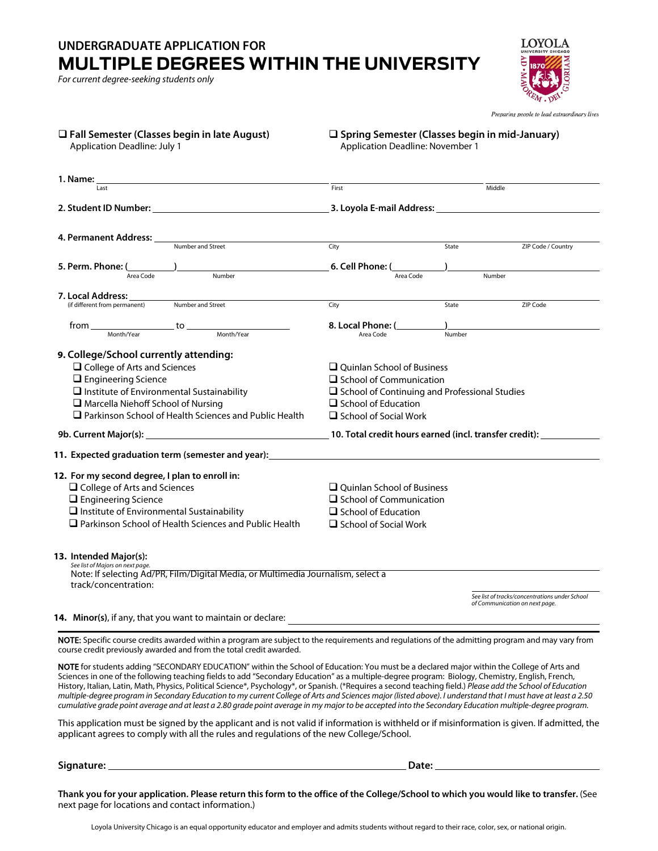## **UNDERGRADUATE APPLICATION FOR MULTIPLE DEGREES WITHIN THE UNIVERSITY**

*For current degree-seeking students only*

ι σνσ

Preparing people to lead extraordinary lives

| $\Box$ Fall Semester (Classes begin in late August)<br><b>Application Deadline: July 1</b>                                                                                                                                                                                                                                                                                              | □ Spring Semester (Classes begin in mid-January)<br><b>Application Deadline: November 1</b>                                                                                           |        |                                                                                  |
|-----------------------------------------------------------------------------------------------------------------------------------------------------------------------------------------------------------------------------------------------------------------------------------------------------------------------------------------------------------------------------------------|---------------------------------------------------------------------------------------------------------------------------------------------------------------------------------------|--------|----------------------------------------------------------------------------------|
| 1. Name:<br>Last                                                                                                                                                                                                                                                                                                                                                                        | First                                                                                                                                                                                 |        | Middle                                                                           |
|                                                                                                                                                                                                                                                                                                                                                                                         |                                                                                                                                                                                       |        |                                                                                  |
| 4. Permanent Address: ____<br>Number and Street                                                                                                                                                                                                                                                                                                                                         |                                                                                                                                                                                       |        |                                                                                  |
|                                                                                                                                                                                                                                                                                                                                                                                         | City                                                                                                                                                                                  | State  | ZIP Code / Country                                                               |
| 5. Perm. Phone: $\frac{1}{\text{Area Code}}$<br>Number                                                                                                                                                                                                                                                                                                                                  | <b>6. Cell Phone:</b> $\frac{1}{\text{Area Code}}$                                                                                                                                    |        | Number                                                                           |
|                                                                                                                                                                                                                                                                                                                                                                                         |                                                                                                                                                                                       |        |                                                                                  |
| 7. Local Address:<br>Number and Street<br>(if different from permanent)                                                                                                                                                                                                                                                                                                                 |                                                                                                                                                                                       | State  | ZIP Code                                                                         |
|                                                                                                                                                                                                                                                                                                                                                                                         | City                                                                                                                                                                                  |        |                                                                                  |
| $\frac{10}{2}$ Month/Year Month/Year<br>from                                                                                                                                                                                                                                                                                                                                            | 8. Local Phone: (                                                                                                                                                                     |        |                                                                                  |
|                                                                                                                                                                                                                                                                                                                                                                                         | Area Code                                                                                                                                                                             | Number |                                                                                  |
| 9. College/School currently attending:<br>$\Box$ College of Arts and Sciences<br>$\Box$ Engineering Science<br>$\Box$ Institute of Environmental Sustainability<br>$\Box$ Marcella Niehoff School of Nursing<br>Parkinson School of Health Sciences and Public Health<br>9b. Current Major(s): 1980 10. Total credit hours earned (incl. transfer credit): 1980. Current Major(s): 1980 | $\Box$ Ouinlan School of Business<br>$\Box$ School of Communication<br>$\square$ School of Continuing and Professional Studies<br>$\Box$ School of Education<br>School of Social Work |        |                                                                                  |
| 11. Expected graduation term (semester and year):                                                                                                                                                                                                                                                                                                                                       |                                                                                                                                                                                       |        |                                                                                  |
| 12. For my second degree, I plan to enroll in:<br>$\Box$ College of Arts and Sciences<br>$\square$ Engineering Science<br>$\Box$ Institute of Environmental Sustainability<br>$\Box$ Parkinson School of Health Sciences and Public Health                                                                                                                                              | $\Box$ Quinlan School of Business<br>$\Box$ School of Communication<br>$\Box$ School of Education<br>$\Box$ School of Social Work                                                     |        |                                                                                  |
| 13. Intended Major(s):<br>See list of Majors on next page.<br>Note: If selecting Ad/PR, Film/Digital Media, or Multimedia Journalism, select a<br>track/concentration:                                                                                                                                                                                                                  |                                                                                                                                                                                       |        | See list of tracks/concentrations under School<br>of Communication on next page. |
| 14. Minor(s), if any, that you want to maintain or declare:                                                                                                                                                                                                                                                                                                                             |                                                                                                                                                                                       |        |                                                                                  |

NOTE: Specific course credits awarded within a program are subject to the requirements and regulations of the admitting program and may vary from course credit previously awarded and from the total credit awarded.

NOTE for students adding "SECONDARY EDUCATION" within the School of Education: You must be a declared major within the College of Arts and Sciences in one of the following teaching fields to add "Secondary Education" as a multiple-degree program: Biology, Chemistry, English, French, History, Italian, Latin, Math, Physics, Political Science\*, Psychology\*, or Spanish. (\*Requires a second teaching field.) *Please add the School of Education multiple-degree program in Secondary Education to my current College of Arts and Sciences major (listed above). I understand that I must have at least a 2.50 cumulative grade point average and at least a 2.80 grade point average in my major to be accepted into the Secondary Education multiple-degree program.*

This application must be signed by the applicant and is not valid if information is withheld or if misinformation is given. If admitted, the applicant agrees to comply with all the rules and regulations of the new College/School.

**Signature: Date:** 

**Thank you for your application. Please return this form to the office of the College/School to which you would like to transfer.** (See next page for locations and contact information.)